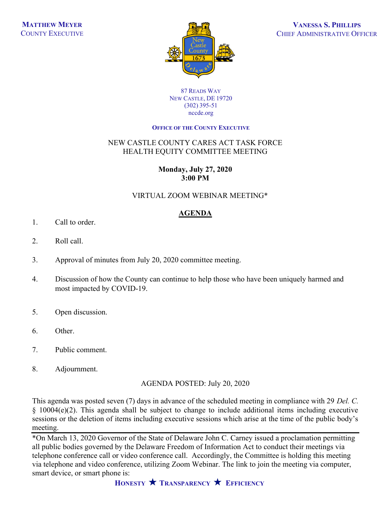

#### 87 READS WAY NEW CASTLE, DE 19720 (302) 395-51 nccde.org

#### OFFICE OF THE COUNTY EXECUTIVE

#### NEW CASTLE COUNTY CARES ACT TASK FORCE HEALTH EQUITY COMMITTEE MEETING

### Monday, July 27, 2020 3:00 PM

# VIRTUAL ZOOM WEBINAR MEETING\*

# AGENDA

- 1. Call to order.
- 2. Roll call.
- 3. Approval of minutes from July 20, 2020 committee meeting.
- 4. Discussion of how the County can continue to help those who have been uniquely harmed and most impacted by COVID-19.
- 5. Open discussion.
- 6. Other.
- 7. Public comment.
- 8. Adjournment.

#### AGENDA POSTED: July 20, 2020

This agenda was posted seven (7) days in advance of the scheduled meeting in compliance with 29 Del. C. § 10004(e)(2). This agenda shall be subject to change to include additional items including executive sessions or the deletion of items including executive sessions which arise at the time of the public body's meeting.

\*On March 13, 2020 Governor of the State of Delaware John C. Carney issued a proclamation permitting all public bodies governed by the Delaware Freedom of Information Act to conduct their meetings via telephone conference call or video conference call. Accordingly, the Committee is holding this meeting via telephone and video conference, utilizing Zoom Webinar. The link to join the meeting via computer, smart device, or smart phone is:

HONESTY  $\bigstar$  Transparency  $\bigstar$  Efficiency